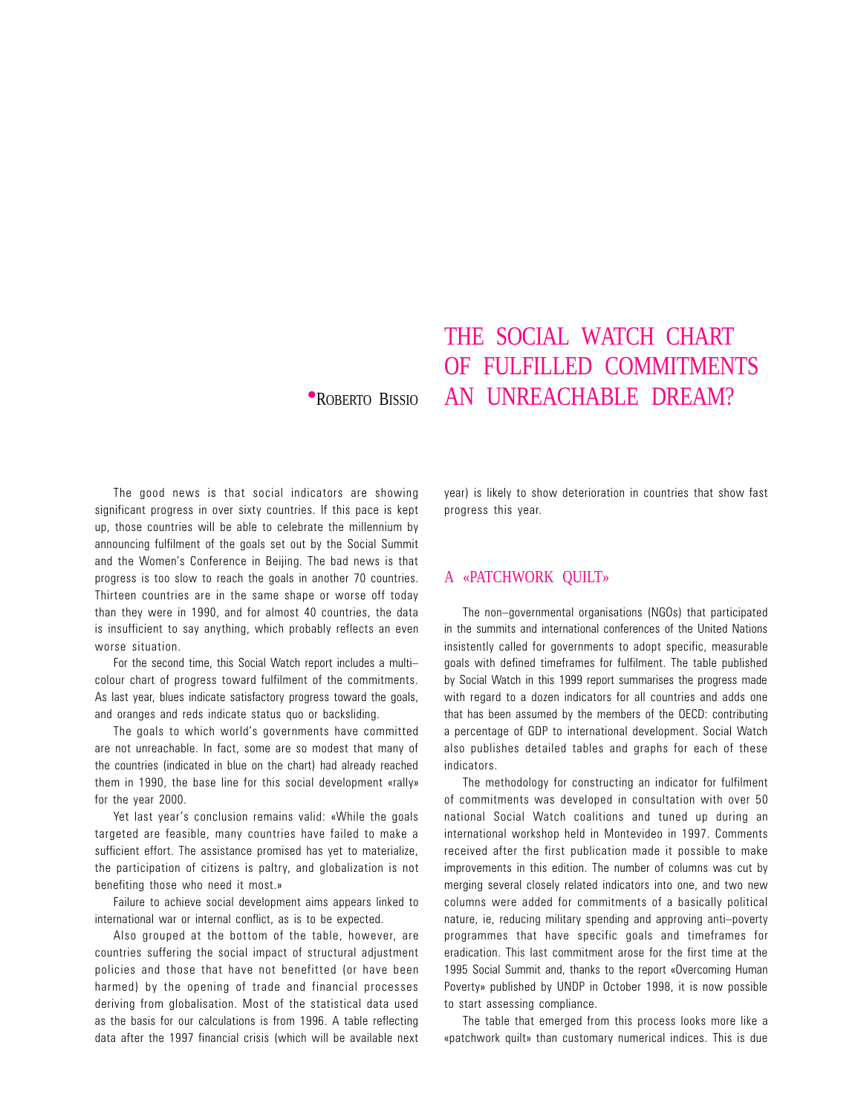## **•ROBERTO BISSIO AN UNREACHABLE DREAM?**

The good news is that social indicators are showing significant progress in over sixty countries. If this pace is kept up, those countries will be able to celebrate the millennium by announcing fulfilment of the goals set out by the Social Summit and the Women's Conference in Beijing. The bad news is that progress is too slow to reach the goals in another 70 countries. Thirteen countries are in the same shape or worse off today than they were in 1990, and for almost 40 countries, the data is insufficient to say anything, which probably reflects an even worse situation.

For the second time, this Social Watch report includes a multi colour chart of progress toward fulfilment of the commitments. As last year, blues indicate satisfactory progress toward the goals, and oranges and reds indicate status quo or backsliding.

The goals to which world's governments have committed are not unreachable. In fact, some are so modest that many of the countries (indicated in blue on the chart) had already reached them in 1990, the base line for this social development «rally» for the year 2000.

Yet last year's conclusion remains valid: «While the goals targeted are feasible, many countries have failed to make a sufficient effort. The assistance promised has yet to materialize, the participation of citizens is paltry, and globalization is not benefiting those who need it most.»

Failure to achieve social development aims appears linked to international war or internal conflict, as is to be expected.

Also grouped at the bottom of the table, however, are countries suffering the social impact of structural adjustment policies and those that have not benefitted (or have been harmed) by the opening of trade and financial processes deriving from globalisation. Most of the statistical data used as the basis for our calculations is from 1996. A table reflecting data after the 1997 financial crisis (which will be available next year) is likely to show deterioration in countries that show fast progress this year.

THE SOCIAL WATCH CHART

OF FULFILLED COMMITMENTS

## A «PATCHWORK QUILT»

The non-governmental organisations (NGOs) that participated in the summits and international conferences of the United Nations insistently called for governments to adopt specific, measurable goals with defined timeframes for fulfilment. The table published by Social Watch in this 1999 report summarises the progress made with regard to a dozen indicators for all countries and adds one that has been assumed by the members of the OECD: contributing a percentage of GDP to international development. Social Watch also publishes detailed tables and graphs for each of these indicators.

The methodology for constructing an indicator for fulfilment of commitments was developed in consultation with over 50 national Social Watch coalitions and tuned up during an international workshop held in Montevideo in 1997. Comments received after the first publication made it possible to make improvements in this edition. The number of columns was cut by merging several closely related indicators into one, and two new columns were added for commitments of a basically political nature, ie, reducing military spending and approving anti-poverty programmes that have specific goals and timeframes for eradication. This last commitment arose for the first time at the 1995 Social Summit and, thanks to the report «Overcoming Human Poverty» published by UNDP in October 1998, it is now possible to start assessing compliance.

The table that emerged from this process looks more like a «patchwork quilt» than customary numerical indices. This is due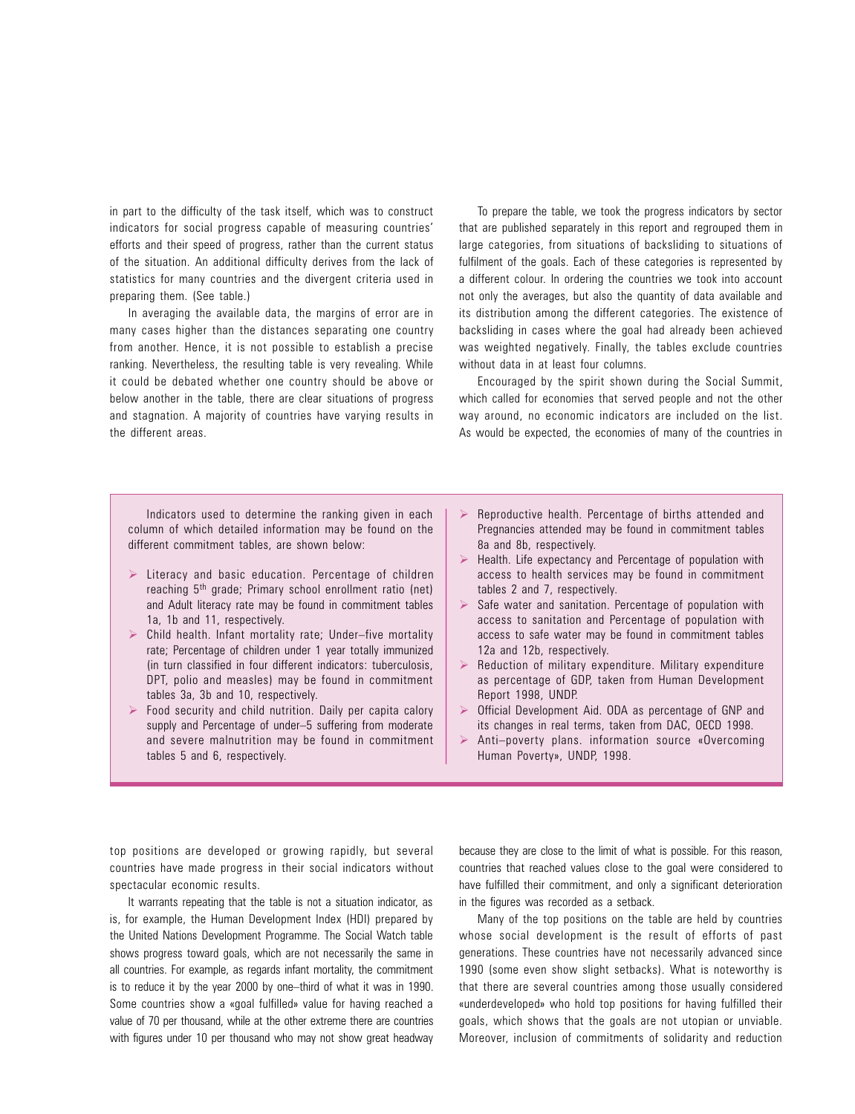in part to the difficulty of the task itself, which was to construct indicators for social progress capable of measuring countries' efforts and their speed of progress, rather than the current status of the situation. An additional difficulty derives from the lack of statistics for many countries and the divergent criteria used in preparing them. (See table.)

In averaging the available data, the margins of error are in many cases higher than the distances separating one country from another. Hence, it is not possible to establish a precise ranking. Nevertheless, the resulting table is very revealing. While it could be debated whether one country should be above or below another in the table, there are clear situations of progress and stagnation. A majority of countries have varying results in the different areas.

To prepare the table, we took the progress indicators by sector that are published separately in this report and regrouped them in large categories, from situations of backsliding to situations of fulfilment of the goals. Each of these categories is represented by a different colour. In ordering the countries we took into account not only the averages, but also the quantity of data available and its distribution among the different categories. The existence of backsliding in cases where the goal had already been achieved was weighted negatively. Finally, the tables exclude countries without data in at least four columns.

Encouraged by the spirit shown during the Social Summit, which called for economies that served people and not the other way around, no economic indicators are included on the list. As would be expected, the economies of many of the countries in

Indicators used to determine the ranking given in each column of which detailed information may be found on the different commitment tables, are shown below:

- $\triangleright$  Literacy and basic education. Percentage of children reaching 5th grade; Primary school enrollment ratio (net) and Adult literacy rate may be found in commitment tables 1a, 1b and 11, respectively.
- $\triangleright$  Child health. Infant mortality rate; Under-five mortality rate; Percentage of children under 1 year totally immunized (in turn classified in four different indicators: tuberculosis, DPT, polio and measles) may be found in commitment tables 3a, 3b and 10, respectively.
- $\triangleright$  Food security and child nutrition. Daily per capita calory supply and Percentage of under-5 suffering from moderate and severe malnutrition may be found in commitment tables 5 and 6, respectively.
- $\triangleright$  Reproductive health. Percentage of births attended and Pregnancies attended may be found in commitment tables 8a and 8b, respectively.
- $\triangleright$  Health. Life expectancy and Percentage of population with access to health services may be found in commitment tables 2 and 7, respectively.
- Safe water and sanitation. Percentage of population with access to sanitation and Percentage of population with access to safe water may be found in commitment tables 12a and 12b, respectively.
- $\triangleright$  Reduction of military expenditure. Military expenditure as percentage of GDP, taken from Human Development Report 1998, UNDP.
- $\triangleright$  Official Development Aid. ODA as percentage of GNP and its changes in real terms, taken from DAC, OECD 1998.
- $\triangleright$  Anti-poverty plans. information source «Overcoming Human Poverty», UNDP, 1998.

top positions are developed or growing rapidly, but several countries have made progress in their social indicators without spectacular economic results.

It warrants repeating that the table is not a situation indicator, as is, for example, the Human Development Index (HDI) prepared by the United Nations Development Programme. The Social Watch table shows progress toward goals, which are not necessarily the same in all countries. For example, as regards infant mortality, the commitment is to reduce it by the year 2000 by one-third of what it was in 1990. Some countries show a «goal fulfilled» value for having reached a value of 70 per thousand, while at the other extreme there are countries with figures under 10 per thousand who may not show great headway because they are close to the limit of what is possible. For this reason, countries that reached values close to the goal were considered to have fulfilled their commitment, and only a significant deterioration in the figures was recorded as a setback.

Many of the top positions on the table are held by countries whose social development is the result of efforts of past generations. These countries have not necessarily advanced since 1990 (some even show slight setbacks). What is noteworthy is that there are several countries among those usually considered «underdeveloped» who hold top positions for having fulfilled their goals, which shows that the goals are not utopian or unviable. Moreover, inclusion of commitments of solidarity and reduction